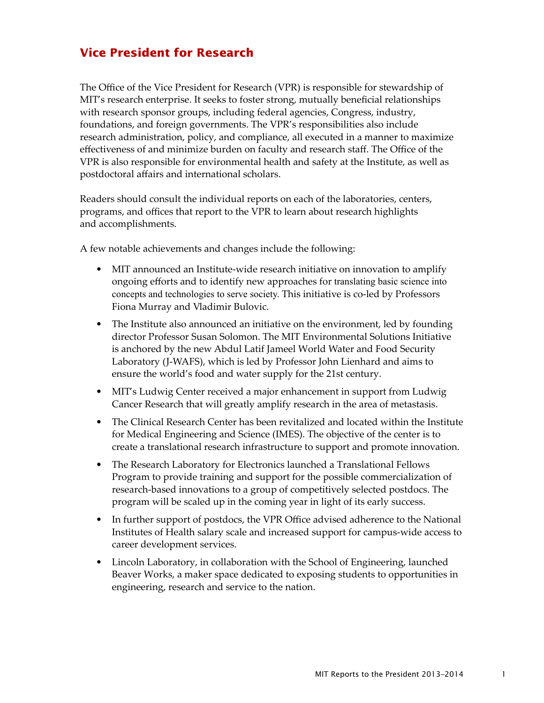## **Vice President for Research**

The Office of the Vice President for Research (VPR) is responsible for stewardship of MIT's research enterprise. It seeks to foster strong, mutually beneficial relationships with research sponsor groups, including federal agencies, Congress, industry, foundations, and foreign governments. The VPR's responsibilities also include research administration, policy, and compliance, all executed in a manner to maximize effectiveness of and minimize burden on faculty and research staff. The Office of the VPR is also responsible for environmental health and safety at the Institute, as well as postdoctoral affairs and international scholars.

Readers should consult the individual reports on each of the laboratories, centers, programs, and offices that report to the VPR to learn about research highlights and accomplishments.

A few notable achievements and changes include the following:

- MIT announced an Institute-wide research initiative on innovation to amplify ongoing efforts and to identify new approaches for translating basic science into concepts and technologies to serve society. This initiative is co-led by Professors Fiona Murray and Vladimir Bulovic.
- The Institute also announced an initiative on the environment, led by founding director Professor Susan Solomon. The MIT Environmental Solutions Initiative is anchored by the new Abdul Latif Jameel World Water and Food Security Laboratory (J-WAFS), which is led by Professor John Lienhard and aims to ensure the world's food and water supply for the 21st century.
- MIT's Ludwig Center received a major enhancement in support from Ludwig Cancer Research that will greatly amplify research in the area of metastasis.
- The Clinical Research Center has been revitalized and located within the Institute for Medical Engineering and Science (IMES). The objective of the center is to create a translational research infrastructure to support and promote innovation.
- The Research Laboratory for Electronics launched a Translational Fellows Program to provide training and support for the possible commercialization of research-based innovations to a group of competitively selected postdocs. The program will be scaled up in the coming year in light of its early success.
- In further support of postdocs, the VPR Office advised adherence to the National Institutes of Health salary scale and increased support for campus-wide access to career development services.
- Lincoln Laboratory, in collaboration with the School of Engineering, launched Beaver Works, a maker space dedicated to exposing students to opportunities in engineering, research and service to the nation.